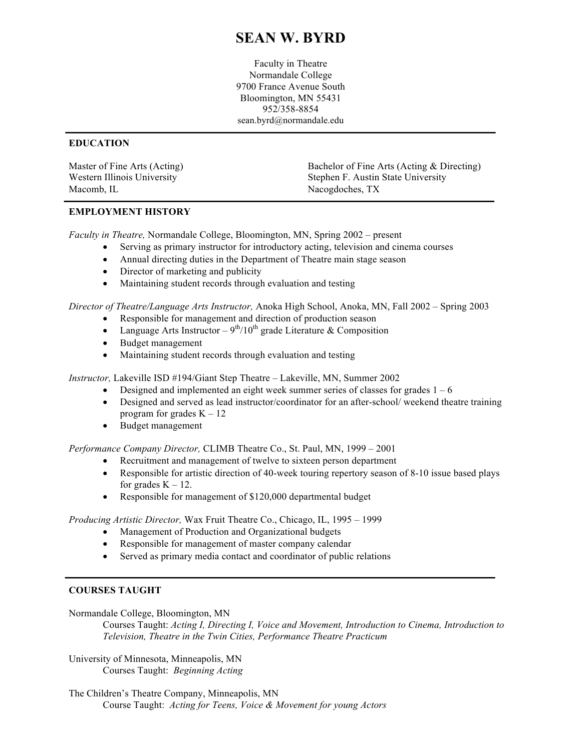# **SEAN W. BYRD**

Faculty in Theatre Normandale College 9700 France Avenue South Bloomington, MN 55431 952/358-8854 sean.byrd@normandale.edu

## **EDUCATION**

| Master of Fine Arts (Acting) | Bachelor of Fine Arts (Acting & Directing) |
|------------------------------|--------------------------------------------|
| Western Illinois University  | Stephen F. Austin State University         |
| Macomb, IL                   | Nacogdoches, TX                            |

#### **EMPLOYMENT HISTORY**

*Faculty in Theatre,* Normandale College, Bloomington, MN, Spring 2002 – present

- Serving as primary instructor for introductory acting, television and cinema courses
- Annual directing duties in the Department of Theatre main stage season
- Director of marketing and publicity
- Maintaining student records through evaluation and testing

*Director of Theatre/Language Arts Instructor,* Anoka High School, Anoka, MN, Fall 2002 – Spring 2003

- Responsible for management and direction of production season
- Language Arts Instructor  $9<sup>th</sup>/10<sup>th</sup>$  grade Literature & Composition
- Budget management
- Maintaining student records through evaluation and testing

*Instructor,* Lakeville ISD #194/Giant Step Theatre – Lakeville, MN, Summer 2002

- Designed and implemented an eight week summer series of classes for grades  $1 6$
- Designed and served as lead instructor/coordinator for an after-school/ weekend theatre training program for grades  $K - 12$
- Budget management

*Performance Company Director,* CLIMB Theatre Co., St. Paul, MN, 1999 – 2001

- Recruitment and management of twelve to sixteen person department
- Responsible for artistic direction of 40-week touring repertory season of 8-10 issue based plays for grades  $K - 12$ .
- Responsible for management of \$120,000 departmental budget

*Producing Artistic Director,* Wax Fruit Theatre Co., Chicago, IL, 1995 – 1999

- Management of Production and Organizational budgets
- Responsible for management of master company calendar
- Served as primary media contact and coordinator of public relations

## **COURSES TAUGHT**

Normandale College, Bloomington, MN

Courses Taught: *Acting I, Directing I, Voice and Movement, Introduction to Cinema, Introduction to Television, Theatre in the Twin Cities, Performance Theatre Practicum*

University of Minnesota, Minneapolis, MN Courses Taught: *Beginning Acting* 

The Children's Theatre Company, Minneapolis, MN Course Taught: *Acting for Teens, Voice & Movement for young Actors*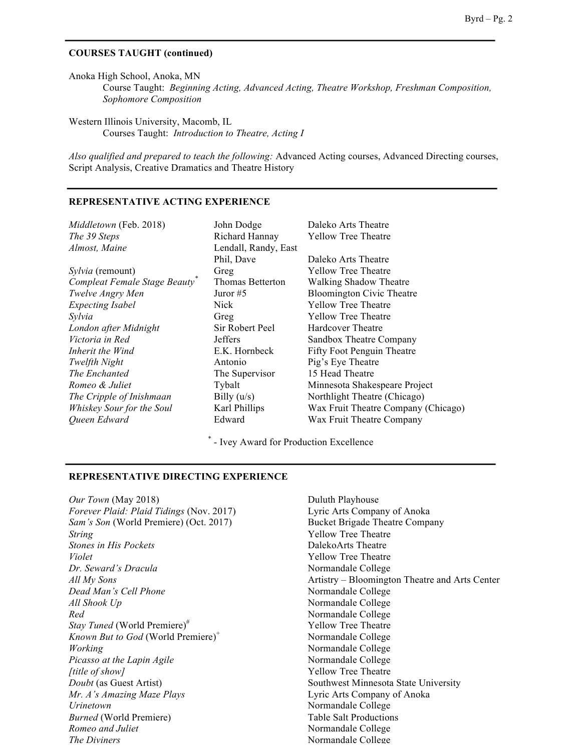#### **COURSES TAUGHT (continued)**

Anoka High School, Anoka, MN Course Taught: *Beginning Acting, Advanced Acting, Theatre Workshop, Freshman Composition, Sophomore Composition*

Western Illinois University, Macomb, IL Courses Taught: *Introduction to Theatre, Acting I* 

*Also qualified and prepared to teach the following:* Advanced Acting courses, Advanced Directing courses, Script Analysis, Creative Dramatics and Theatre History

#### **REPRESENTATIVE ACTING EXPERIENCE**

| Middletown (Feb. 2018)<br>The 39 Steps<br>Almost, Maine | John Dodge<br>Richard Hannay<br>Lendall, Randy, East | Daleko Arts Theatre<br><b>Yellow Tree Theatre</b> |
|---------------------------------------------------------|------------------------------------------------------|---------------------------------------------------|
|                                                         | Phil, Dave                                           | Daleko Arts Theatre                               |
| <i>Sylvia</i> (remount)                                 | Greg                                                 | <b>Yellow Tree Theatre</b>                        |
| Compleat Female Stage Beauty                            | Thomas Betterton                                     | <b>Walking Shadow Theatre</b>                     |
| Twelve Angry Men                                        | Juror $#5$                                           | <b>Bloomington Civic Theatre</b>                  |
| <b>Expecting Isabel</b>                                 | Nick                                                 | <b>Yellow Tree Theatre</b>                        |
| Sylvia                                                  | Greg                                                 | <b>Yellow Tree Theatre</b>                        |
| London after Midnight                                   | Sir Robert Peel                                      | Hardcover Theatre                                 |
| Victoria in Red                                         | <b>Jeffers</b>                                       | Sandbox Theatre Company                           |
| Inherit the Wind                                        | E.K. Hornbeck                                        | <b>Fifty Foot Penguin Theatre</b>                 |
| Twelfth Night                                           | Antonio                                              | Pig's Eye Theatre                                 |
| The Enchanted                                           | The Supervisor                                       | 15 Head Theatre                                   |
| Romeo & Juliet                                          | Tybalt                                               | Minnesota Shakespeare Project                     |
| The Cripple of Inishmaan                                | Billy $(u/s)$                                        | Northlight Theatre (Chicago)                      |
| Whiskey Sour for the Soul                               | Karl Phillips                                        | Wax Fruit Theatre Company (Chicago)               |
| Oueen Edward                                            | Edward                                               | Wax Fruit Theatre Company                         |

\* - Ivey Award for Production Excellence

#### **REPRESENTATIVE DIRECTING EXPERIENCE**

*Our Town* (May 2018) Duluth Playhouse *Forever Plaid: Plaid Tidings* (Nov. 2017) Lyric Arts Company of Anoka *Sam's Son* (World Premiere) (Oct. 2017) Bucket Brigade Theatre Company *String* Yellow Tree Theatre *Stones in His Pockets* **DalekoArts** Theatre *Violet* Yellow Tree Theatre *Dr. Seward's Dracula* Normandale College *Dead Man's Cell Phone* Normandale College *All Shook Up* Normandale College *Red* Normandale College *Stay Tuned* (World Premiere)<sup>#</sup> Yellow Tree Theatre *Known But to God* (World Premiere)<sup>+</sup> Normandale College *Working*<br>*Picasso at the Lapin Agile Agile Mormandale College Normandale College Picasso at the Lapin Agile fittle of show]* Yellow Tree Theatre *Doubt* (as Guest Artist) Southwest Minnesota State University *Mr. A's Amazing Maze Plays* Lyric Arts Company of Anoka *Urinetown* Normandale College *Burned* (World Premiere) Table Salt Productions *Romeo and Juliet* Normandale College **The Diviners** Normandale College

*All My Sons* Artistry – Bloomington Theatre and Arts Center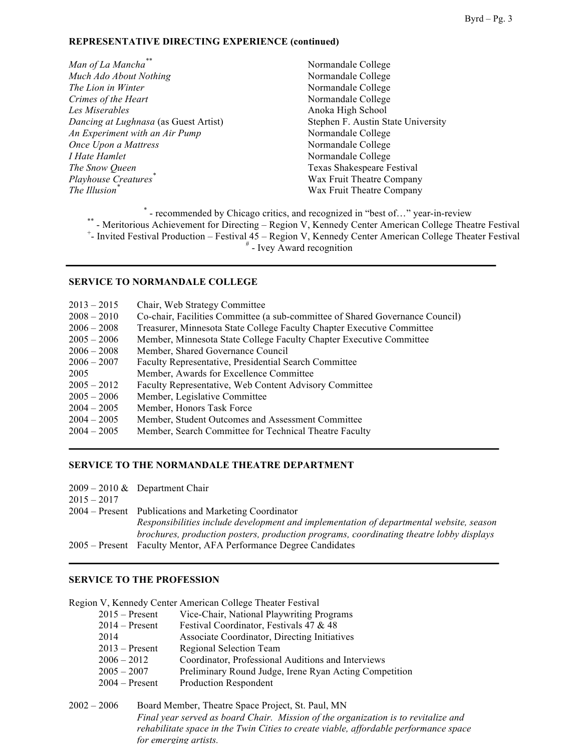### **REPRESENTATIVE DIRECTING EXPERIENCE (continued)**

- *Man of La Mancha*<sup>\*\*</sup> Normandale College *Much Ado About Nothing* Normandale College *The Lion in Winter* Normandale College **Crimes of the Heart** Normandale College *Les Miserables* Anoka High School *Dancing at Lughnasa* (as Guest Artist) Stephen F. Austin State University *An Experiment with an Air Pump* Normandale College *Once Upon a Mattress* Normandale College *I Hate Hamlet* Normandale College *The Snow Queen* **Texas Shakespeare Festival** *Playhouse Creatures*<sup>\*</sup> Wax Fruit Theatre Company *The Illusion\** Wax Fruit Theatre Company
- 

\* - recommended by Chicago critics, and recognized in "best of..." year-in-review \*\* - Meritorious Achievement for Directing – Region V, Kennedy Center American College Theatre Festival - Invited Festival Production – Festival 45 – Region V, Kennedy Center American College Theater Festival  $*$  - Ivey Award recognition

#### **SERVICE TO NORMANDALE COLLEGE**

| $2013 - 2015$ | Chair, Web Strategy Committee                                                 |
|---------------|-------------------------------------------------------------------------------|
| $2008 - 2010$ | Co-chair, Facilities Committee (a sub-committee of Shared Governance Council) |
| $2006 - 2008$ | Treasurer, Minnesota State College Faculty Chapter Executive Committee        |
| $2005 - 2006$ | Member, Minnesota State College Faculty Chapter Executive Committee           |
| $2006 - 2008$ | Member, Shared Governance Council                                             |
| $2006 - 2007$ | Faculty Representative, Presidential Search Committee                         |
| 2005          | Member, Awards for Excellence Committee                                       |
| $2005 - 2012$ | Faculty Representative, Web Content Advisory Committee                        |
| $2005 - 2006$ | Member, Legislative Committee                                                 |
| $2004 - 2005$ | Member, Honors Task Force                                                     |
| $2004 - 2005$ | Member, Student Outcomes and Assessment Committee                             |
| $2004 - 2005$ | Member, Search Committee for Technical Theatre Faculty                        |
|               |                                                                               |

## **SERVICE TO THE NORMANDALE THEATRE DEPARTMENT**

| $2015 - 2017$ | $2009 - 2010 \&$ Department Chair                                                       |
|---------------|-----------------------------------------------------------------------------------------|
|               | 2004 – Present Publications and Marketing Coordinator                                   |
|               | Responsibilities include development and implementation of departmental website, season |
|               | brochures, production posters, production programs, coordinating theatre lobby displays |
|               | 2005 – Present Faculty Mentor, AFA Performance Degree Candidates                        |

#### **SERVICE TO THE PROFESSION**

Region V, Kennedy Center American College Theater Festival

| $2015 -$ Present | Vice-Chair, National Playwriting Programs              |
|------------------|--------------------------------------------------------|
| $2014 -$ Present | Festival Coordinator, Festivals 47 & 48                |
| 2014             | Associate Coordinator, Directing Initiatives           |
| $2013 -$ Present | Regional Selection Team                                |
| $2006 - 2012$    | Coordinator, Professional Auditions and Interviews     |
| $2005 - 2007$    | Preliminary Round Judge, Irene Ryan Acting Competition |
| 2004 – Present   | Production Respondent                                  |
|                  |                                                        |

2002 – 2006 Board Member, Theatre Space Project, St. Paul, MN *Final year served as board Chair. Mission of the organization is to revitalize and rehabilitate space in the Twin Cities to create viable, affordable performance space for emerging artists.*